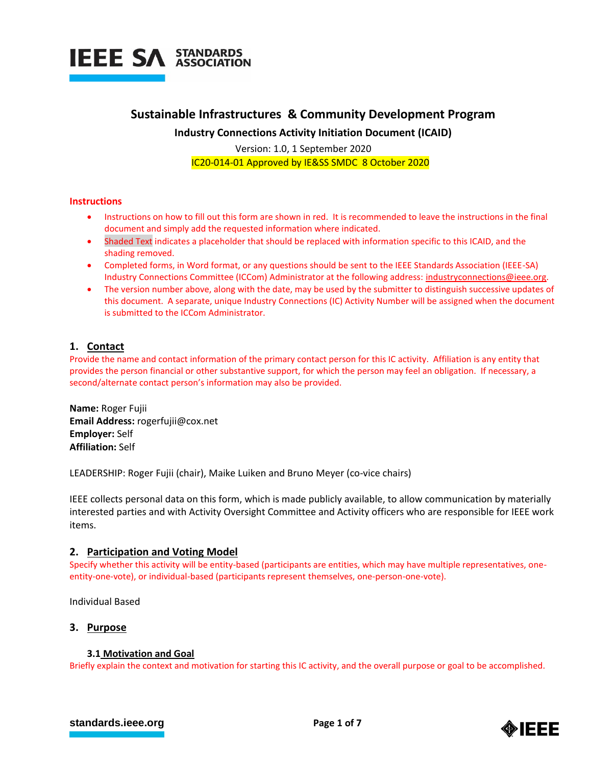

## **Sustainable Infrastructures & Community Development Program**

**Industry Connections Activity Initiation Document (ICAID)**

 Version: 1.0, 1 September 2020 IC20-014-01 Approved by IE&SS SMDC 8 October 2020

## **Instructions**

- Instructions on how to fill out this form are shown in red. It is recommended to leave the instructions in the final document and simply add the requested information where indicated.
- Shaded Text indicates a placeholder that should be replaced with information specific to this ICAID, and the shading removed.
- Completed forms, in Word format, or any questions should be sent to the IEEE Standards Association (IEEE-SA) Industry Connections Committee (ICCom) Administrator at the following address: [industryconnections@ieee.org.](mailto:industryconnections@ieee.org)
- The version number above, along with the date, may be used by the submitter to distinguish successive updates of this document. A separate, unique Industry Connections (IC) Activity Number will be assigned when the document is submitted to the ICCom Administrator.

## **1. Contact**

Provide the name and contact information of the primary contact person for this IC activity. Affiliation is any entity that provides the person financial or other substantive support, for which the person may feel an obligation. If necessary, a second/alternate contact person's information may also be provided.

**Name:** Roger Fujii **Email Address:** rogerfujii@cox.net **Employer:** Self **Affiliation:** Self

LEADERSHIP: Roger Fujii (chair), Maike Luiken and Bruno Meyer (co-vice chairs)

IEEE collects personal data on this form, which is made publicly available, to allow communication by materially interested parties and with Activity Oversight Committee and Activity officers who are responsible for IEEE work items.

## **2. Participation and Voting Model**

Specify whether this activity will be entity-based (participants are entities, which may have multiple representatives, oneentity-one-vote), or individual-based (participants represent themselves, one-person-one-vote).

Individual Based

## **3. Purpose**

## **3.1 Motivation and Goal**

Briefly explain the context and motivation for starting this IC activity, and the overall purpose or goal to be accomplished.



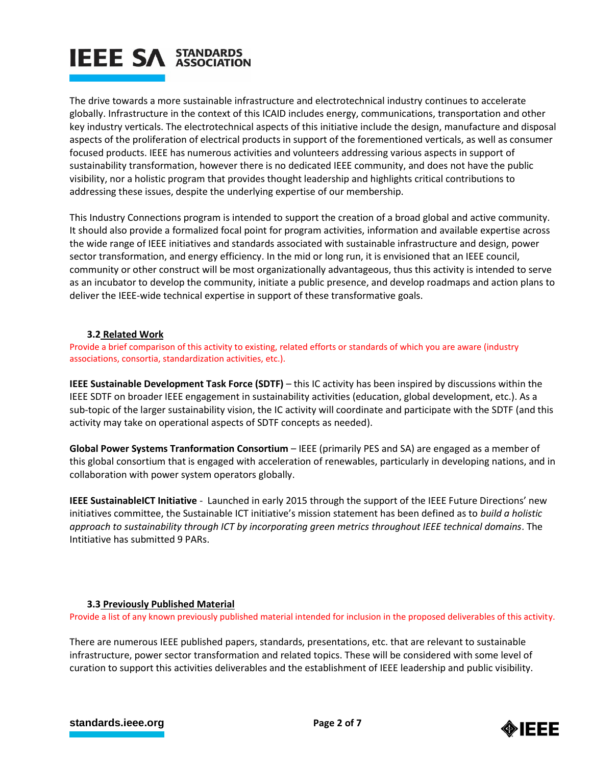# **IEEE SA STANDARDS**

The drive towards a more sustainable infrastructure and electrotechnical industry continues to accelerate globally. Infrastructure in the context of this ICAID includes energy, communications, transportation and other key industry verticals. The electrotechnical aspects of this initiative include the design, manufacture and disposal aspects of the proliferation of electrical products in support of the forementioned verticals, as well as consumer focused products. IEEE has numerous activities and volunteers addressing various aspects in support of sustainability transformation, however there is no dedicated IEEE community, and does not have the public visibility, nor a holistic program that provides thought leadership and highlights critical contributions to addressing these issues, despite the underlying expertise of our membership.

This Industry Connections program is intended to support the creation of a broad global and active community. It should also provide a formalized focal point for program activities, information and available expertise across the wide range of IEEE initiatives and standards associated with sustainable infrastructure and design, power sector transformation, and energy efficiency. In the mid or long run, it is envisioned that an IEEE council, community or other construct will be most organizationally advantageous, thus this activity is intended to serve as an incubator to develop the community, initiate a public presence, and develop roadmaps and action plans to deliver the IEEE-wide technical expertise in support of these transformative goals.

## **3.2 Related Work**

Provide a brief comparison of this activity to existing, related efforts or standards of which you are aware (industry associations, consortia, standardization activities, etc.).

**IEEE Sustainable Development Task Force (SDTF)** – this IC activity has been inspired by discussions within the IEEE SDTF on broader IEEE engagement in sustainability activities (education, global development, etc.). As a sub-topic of the larger sustainability vision, the IC activity will coordinate and participate with the SDTF (and this activity may take on operational aspects of SDTF concepts as needed).

**Global Power Systems Tranformation Consortium** – IEEE (primarily PES and SA) are engaged as a member of this global consortium that is engaged with acceleration of renewables, particularly in developing nations, and in collaboration with power system operators globally.

**IEEE SustainableICT Initiative** - Launched in early 2015 through the support of the IEEE Future Directions' new initiatives committee, the Sustainable ICT initiative's mission statement has been defined as to *build a holistic approach to sustainability through ICT by incorporating green metrics throughout IEEE technical domains*. The Intitiative has submitted 9 PARs.

## **3.3 Previously Published Material**

Provide a list of any known previously published material intended for inclusion in the proposed deliverables of this activity.

There are numerous IEEE published papers, standards, presentations, etc. that are relevant to sustainable infrastructure, power sector transformation and related topics. These will be considered with some level of curation to support this activities deliverables and the establishment of IEEE leadership and public visibility.

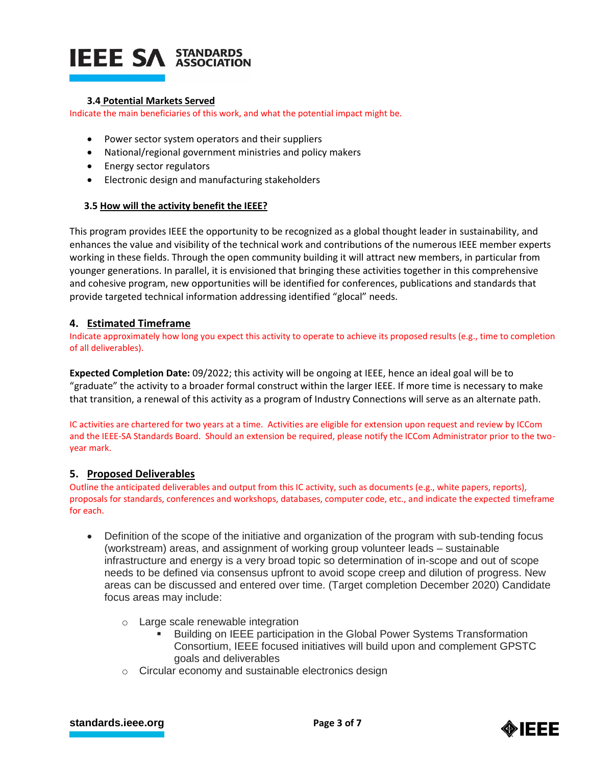# **IEEE SA STANDARDS**

## **3.4 Potential Markets Served**

Indicate the main beneficiaries of this work, and what the potential impact might be.

- Power sector system operators and their suppliers
- National/regional government ministries and policy makers
- Energy sector regulators
- Electronic design and manufacturing stakeholders

## **3.5 How will the activity benefit the IEEE?**

This program provides IEEE the opportunity to be recognized as a global thought leader in sustainability, and enhances the value and visibility of the technical work and contributions of the numerous IEEE member experts working in these fields. Through the open community building it will attract new members, in particular from younger generations. In parallel, it is envisioned that bringing these activities together in this comprehensive and cohesive program, new opportunities will be identified for conferences, publications and standards that provide targeted technical information addressing identified "glocal" needs.

## **4. Estimated Timeframe**

Indicate approximately how long you expect this activity to operate to achieve its proposed results (e.g., time to completion of all deliverables).

**Expected Completion Date:** 09/2022; this activity will be ongoing at IEEE, hence an ideal goal will be to "graduate" the activity to a broader formal construct within the larger IEEE. If more time is necessary to make that transition, a renewal of this activity as a program of Industry Connections will serve as an alternate path.

IC activities are chartered for two years at a time. Activities are eligible for extension upon request and review by ICCom and the IEEE-SA Standards Board. Should an extension be required, please notify the ICCom Administrator prior to the twoyear mark.

## **5. Proposed Deliverables**

Outline the anticipated deliverables and output from this IC activity, such as documents (e.g., white papers, reports), proposals for standards, conferences and workshops, databases, computer code, etc., and indicate the expected timeframe for each.

- Definition of the scope of the initiative and organization of the program with sub-tending focus (workstream) areas, and assignment of working group volunteer leads – sustainable infrastructure and energy is a very broad topic so determination of in-scope and out of scope needs to be defined via consensus upfront to avoid scope creep and dilution of progress. New areas can be discussed and entered over time. (Target completion December 2020) Candidate focus areas may include:
	- o Large scale renewable integration
		- Building on IEEE participation in the Global Power Systems Transformation Consortium, IEEE focused initiatives will build upon and complement GPSTC goals and deliverables
	- o Circular economy and sustainable electronics design

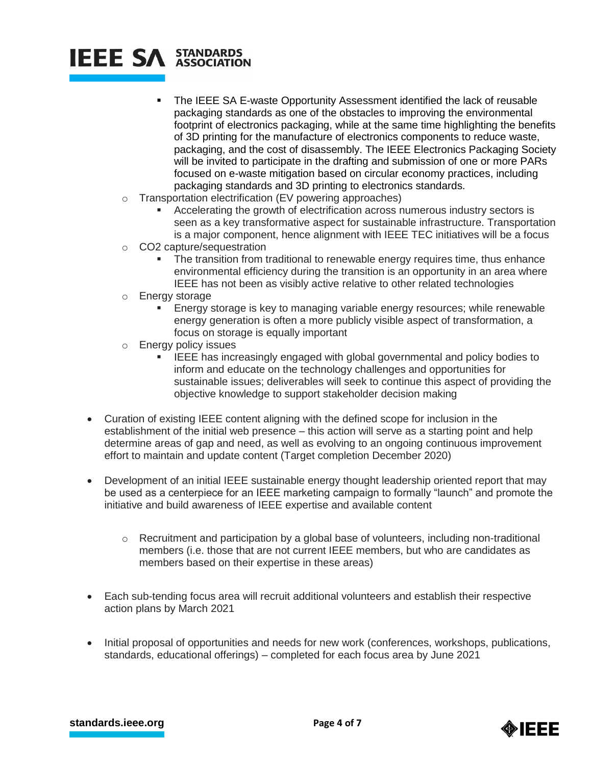## **IEEE SA STANDARDS**

- The IEEE SA E-waste Opportunity Assessment identified the lack of reusable packaging standards as one of the obstacles to improving the environmental footprint of electronics packaging, while at the same time highlighting the benefits of 3D printing for the manufacture of electronics components to reduce waste, packaging, and the cost of disassembly. The IEEE Electronics Packaging Society will be invited to participate in the drafting and submission of one or more PARs focused on e-waste mitigation based on circular economy practices, including packaging standards and 3D printing to electronics standards.
- o Transportation electrification (EV powering approaches)
	- Accelerating the growth of electrification across numerous industry sectors is seen as a key transformative aspect for sustainable infrastructure. Transportation is a major component, hence alignment with IEEE TEC initiatives will be a focus
- o CO2 capture/sequestration
	- The transition from traditional to renewable energy requires time, thus enhance environmental efficiency during the transition is an opportunity in an area where IEEE has not been as visibly active relative to other related technologies
- o Energy storage
	- **Energy storage is key to managing variable energy resources; while renewable** energy generation is often a more publicly visible aspect of transformation, a focus on storage is equally important
- o Energy policy issues
	- IEEE has increasingly engaged with global governmental and policy bodies to inform and educate on the technology challenges and opportunities for sustainable issues; deliverables will seek to continue this aspect of providing the objective knowledge to support stakeholder decision making
- Curation of existing IEEE content aligning with the defined scope for inclusion in the establishment of the initial web presence – this action will serve as a starting point and help determine areas of gap and need, as well as evolving to an ongoing continuous improvement effort to maintain and update content (Target completion December 2020)
- Development of an initial IEEE sustainable energy thought leadership oriented report that may be used as a centerpiece for an IEEE marketing campaign to formally "launch" and promote the initiative and build awareness of IEEE expertise and available content
	- $\circ$  Recruitment and participation by a global base of volunteers, including non-traditional members (i.e. those that are not current IEEE members, but who are candidates as members based on their expertise in these areas)
- Each sub-tending focus area will recruit additional volunteers and establish their respective action plans by March 2021
- Initial proposal of opportunities and needs for new work (conferences, workshops, publications, standards, educational offerings) – completed for each focus area by June 2021

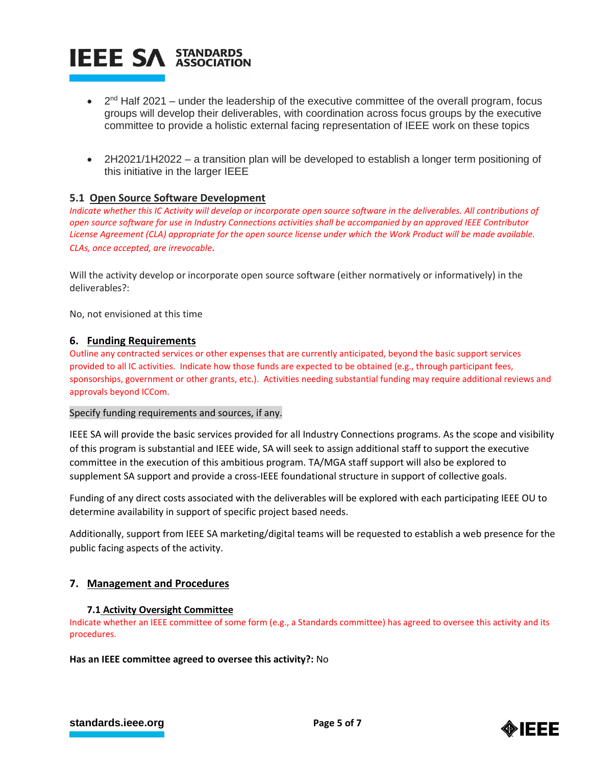

- $\bullet$  2<sup>nd</sup> Half 2021 under the leadership of the executive committee of the overall program, focus groups will develop their deliverables, with coordination across focus groups by the executive committee to provide a holistic external facing representation of IEEE work on these topics
- 2H2021/1H2022 a transition plan will be developed to establish a longer term positioning of this initiative in the larger IEEE

## **5.1 Open Source Software Development**

*Indicate whether this IC Activity will develop or incorporate open source software in the deliverables. All contributions of open source software for use in Industry Connections activities shall be accompanied by an approved IEEE Contributor License Agreement (CLA) appropriate for the open source license under which the Work Product will be made available. CLAs, once accepted, are irrevocable.*

Will the activity develop or incorporate open source software (either normatively or informatively) in the deliverables?:

No, not envisioned at this time

## **6. Funding Requirements**

Outline any contracted services or other expenses that are currently anticipated, beyond the basic support services provided to all IC activities. Indicate how those funds are expected to be obtained (e.g., through participant fees, sponsorships, government or other grants, etc.). Activities needing substantial funding may require additional reviews and approvals beyond ICCom.

## Specify funding requirements and sources, if any.

IEEE SA will provide the basic services provided for all Industry Connections programs. As the scope and visibility of this program is substantial and IEEE wide, SA will seek to assign additional staff to support the executive committee in the execution of this ambitious program. TA/MGA staff support will also be explored to supplement SA support and provide a cross-IEEE foundational structure in support of collective goals.

Funding of any direct costs associated with the deliverables will be explored with each participating IEEE OU to determine availability in support of specific project based needs.

Additionally, support from IEEE SA marketing/digital teams will be requested to establish a web presence for the public facing aspects of the activity.

## **7. Management and Procedures**

#### **7.1 Activity Oversight Committee**

Indicate whether an IEEE committee of some form (e.g., a Standards committee) has agreed to oversee this activity and its procedures.

**Has an IEEE committee agreed to oversee this activity?:** No

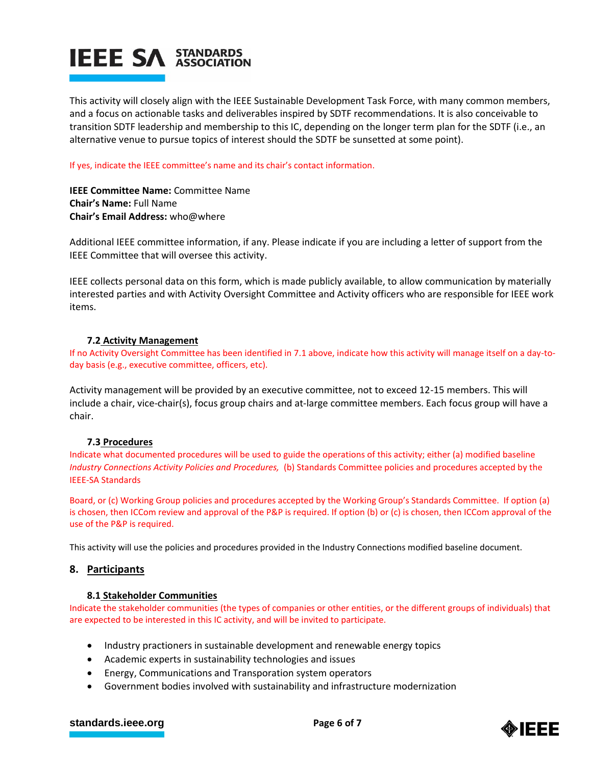

This activity will closely align with the IEEE Sustainable Development Task Force, with many common members, and a focus on actionable tasks and deliverables inspired by SDTF recommendations. It is also conceivable to transition SDTF leadership and membership to this IC, depending on the longer term plan for the SDTF (i.e., an alternative venue to pursue topics of interest should the SDTF be sunsetted at some point).

If yes, indicate the IEEE committee's name and its chair's contact information.

**IEEE Committee Name:** Committee Name **Chair's Name:** Full Name **Chair's Email Address:** who@where

Additional IEEE committee information, if any. Please indicate if you are including a letter of support from the IEEE Committee that will oversee this activity.

IEEE collects personal data on this form, which is made publicly available, to allow communication by materially interested parties and with Activity Oversight Committee and Activity officers who are responsible for IEEE work items.

## **7.2 Activity Management**

If no Activity Oversight Committee has been identified in 7.1 above, indicate how this activity will manage itself on a day-today basis (e.g., executive committee, officers, etc).

Activity management will be provided by an executive committee, not to exceed 12-15 members. This will include a chair, vice-chair(s), focus group chairs and at-large committee members. Each focus group will have a chair.

## **7.3 Procedures**

Indicate what documented procedures will be used to guide the operations of this activity; either (a) modified baseline *Industry Connections Activity Policies and Procedures,* (b) Standards Committee policies and procedures accepted by the IEEE-SA Standards

Board, or (c) Working Group policies and procedures accepted by the Working Group's Standards Committee. If option (a) is chosen, then ICCom review and approval of the P&P is required. If option (b) or (c) is chosen, then ICCom approval of the use of the P&P is required.

This activity will use the policies and procedures provided in the Industry Connections modified baseline document.

## **8. Participants**

## **8.1 Stakeholder Communities**

Indicate the stakeholder communities (the types of companies or other entities, or the different groups of individuals) that are expected to be interested in this IC activity, and will be invited to participate.

- Industry practioners in sustainable development and renewable energy topics
- Academic experts in sustainability technologies and issues
- Energy, Communications and Transporation system operators
- Government bodies involved with sustainability and infrastructure modernization

## **[standards.ieee.org](http://standards.ieee.org/) EXECUTE: Page 6 of 7**